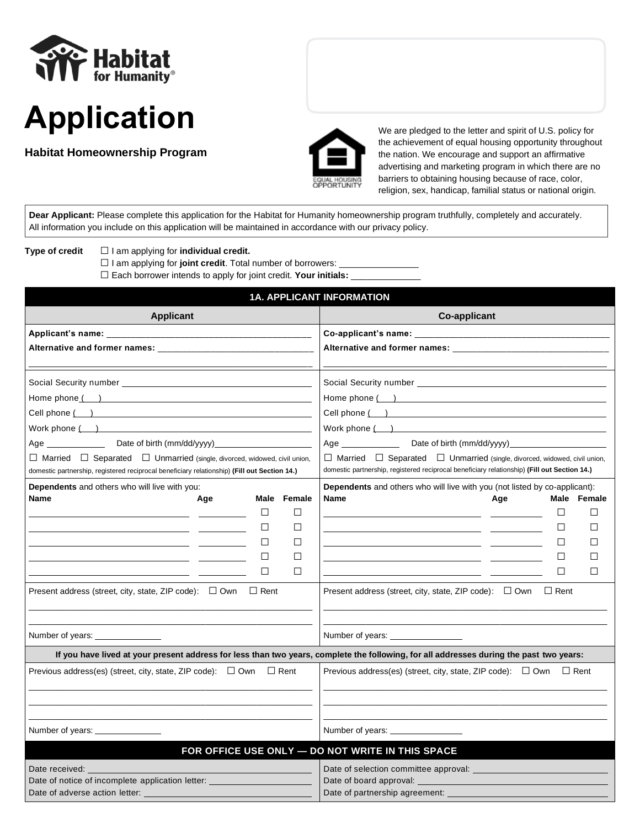



**Habitat Homeownership Program**



We are pledged to the letter and spirit of U.S. policy for the achievement of equal housing opportunity throughout the nation. We encourage and support an affirmative advertising and marketing program in which there are no barriers to obtaining housing because of race, color, religion, sex, handicap, familial status or national origin.

**Dear Applicant:** Please complete this application for the Habitat for Humanity homeownership program truthfully, completely and accurately. All information you include on this application will be maintained in accordance with our privacy policy.

**Type of credit □** I am applying for **individual credit.**

□ I am applying for joint credit. Total number of borrowers:

□ Each borrower intends to apply for joint credit. Your initials:  $□$ 

|                                                                                                                                                                                                                                                                                                                                                                                                                                                                                                                                                                                                                                                                                                                                                   | <b>1A. APPLICANT INFORMATION</b>                                                                                                                                                                                                                                                                                                                                                                                                                                                                                                                                                                                                               |
|---------------------------------------------------------------------------------------------------------------------------------------------------------------------------------------------------------------------------------------------------------------------------------------------------------------------------------------------------------------------------------------------------------------------------------------------------------------------------------------------------------------------------------------------------------------------------------------------------------------------------------------------------------------------------------------------------------------------------------------------------|------------------------------------------------------------------------------------------------------------------------------------------------------------------------------------------------------------------------------------------------------------------------------------------------------------------------------------------------------------------------------------------------------------------------------------------------------------------------------------------------------------------------------------------------------------------------------------------------------------------------------------------------|
| <b>Applicant</b>                                                                                                                                                                                                                                                                                                                                                                                                                                                                                                                                                                                                                                                                                                                                  | <b>Co-applicant</b>                                                                                                                                                                                                                                                                                                                                                                                                                                                                                                                                                                                                                            |
|                                                                                                                                                                                                                                                                                                                                                                                                                                                                                                                                                                                                                                                                                                                                                   |                                                                                                                                                                                                                                                                                                                                                                                                                                                                                                                                                                                                                                                |
| Home phone ( ) and a set of the set of the set of the set of the set of the set of the set of the set of the set of the set of the set of the set of the set of the set of the set of the set of the set of the set of the set<br>Cell phone (i) and the contract of the contract of the contract of the contract of the contract of the contract of the contract of the contract of the contract of the contract of the contract of the contract of the contrac<br>Age _______________________Date of birth (mm/dd/yyyy)___________________________<br>$\Box$ Married $\Box$ Separated $\Box$ Unmarried (single, divorced, widowed, civil union,<br>domestic partnership, registered reciprocal beneficiary relationship) (Fill out Section 14.) | Home phone ( )<br>Work phone ( )<br>Age ___________________Date of birth (mm/dd/yyyy) ______________________________<br>$\Box$ Married $\Box$ Separated $\Box$ Unmarried (single, divorced, widowed, civil union,<br>domestic partnership, registered reciprocal beneficiary relationship) (Fill out Section 14.)                                                                                                                                                                                                                                                                                                                              |
| <b>Dependents</b> and others who will live with you:<br><b>Name</b><br>Female<br>Age<br>Male<br>$\Box$<br>□<br>the company of the company of<br>□<br>$\Box$<br>$\Box$<br>Ш<br>$\Box$<br>$\Box$<br>$\Box$<br>П<br>Present address (street, city, state, ZIP code): □ Own □ Rent                                                                                                                                                                                                                                                                                                                                                                                                                                                                    | Dependents and others who will live with you (not listed by co-applicant):<br>Name<br>Male Female<br>Age<br>$\Box$<br>$\Box$<br>the contract of the contract of the contract of the<br>□<br>Ш<br><u> 1989 - Johann Stoff, Amerikaansk politiker (* 1908)</u><br>□<br>Ш<br><u> 1989 - Johann Harry Barn, mars and de Branch and de Branch and de Branch and de Branch and de Branch and de B</u><br>$\Box$<br>□<br><u> 1989 - Johann Marie Barn, mars an t-Amerikaansk kommunister (</u><br>$\Box$<br>П<br><u> 1989 - John Stone, amerikansk politiker (d. 1989)</u><br>Present address (street, city, state, ZIP code): $\Box$ Own $\Box$ Rent |
| Number of years: ________________                                                                                                                                                                                                                                                                                                                                                                                                                                                                                                                                                                                                                                                                                                                 | Number of years: <u>____________________</u>                                                                                                                                                                                                                                                                                                                                                                                                                                                                                                                                                                                                   |
|                                                                                                                                                                                                                                                                                                                                                                                                                                                                                                                                                                                                                                                                                                                                                   | If you have lived at your present address for less than two years, complete the following, for all addresses during the past two years:                                                                                                                                                                                                                                                                                                                                                                                                                                                                                                        |
| Previous address(es) (street, city, state, ZIP code): $\Box$ Own $\Box$ Rent<br>Number of years:                                                                                                                                                                                                                                                                                                                                                                                                                                                                                                                                                                                                                                                  | Previous address(es) (street, city, state, ZIP code): $\Box$ Own $\Box$ Rent<br>Number of years: <u>_______________</u><br>FOR OFFICE USE ONLY - DO NOT WRITE IN THIS SPACE                                                                                                                                                                                                                                                                                                                                                                                                                                                                    |
| Date received:<br>Date of notice of incomplete application letter:<br>Date of adverse action letter:                                                                                                                                                                                                                                                                                                                                                                                                                                                                                                                                                                                                                                              | Date of selection committee approval:<br>Date of board approval:<br>Date of partnership agreement:                                                                                                                                                                                                                                                                                                                                                                                                                                                                                                                                             |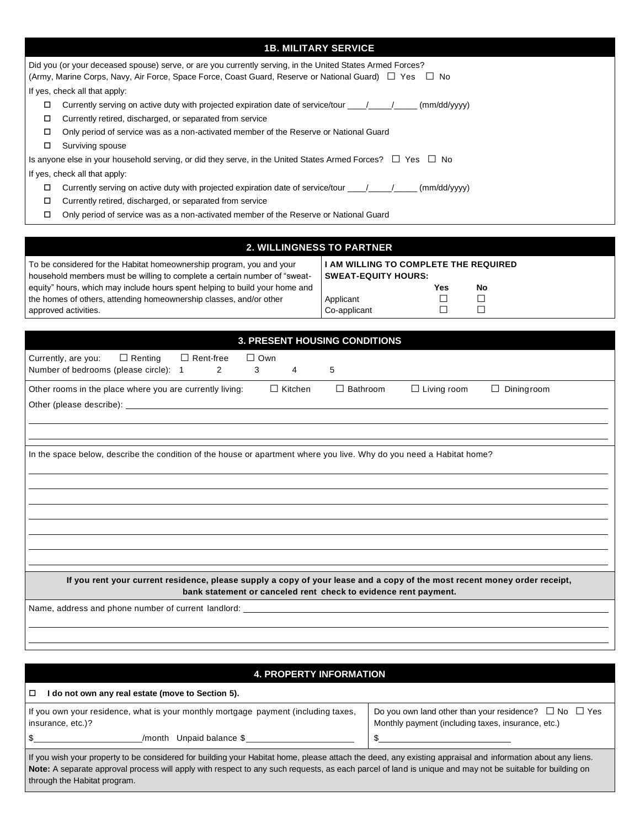| <b>1B. MILITARY SERVICE</b>                                                                                                                                                                                        |
|--------------------------------------------------------------------------------------------------------------------------------------------------------------------------------------------------------------------|
| Did you (or your deceased spouse) serve, or are you currently serving, in the United States Armed Forces?<br>(Army, Marine Corps, Navy, Air Force, Space Force, Coast Guard, Reserve or National Guard) □ Yes □ No |
| If yes, check all that apply:                                                                                                                                                                                      |
| Currently serving on active duty with projected expiration date of service/tour $\frac{1}{\sqrt{2}}$ (mm/dd/yyyy)<br>□                                                                                             |
| Currently retired, discharged, or separated from service<br>□                                                                                                                                                      |
| Only period of service was as a non-activated member of the Reserve or National Guard<br>$\Box$                                                                                                                    |
| Surviving spouse<br>$\Box$                                                                                                                                                                                         |
| Is anyone else in your household serving, or did they serve, in the United States Armed Forces? $\Box$ Yes $\Box$ No                                                                                               |
| If yes, check all that apply:                                                                                                                                                                                      |
| Currently serving on active duty with projected expiration date of service/tour $\frac{1}{\sqrt{2}}$<br>$\Box$<br>(mm/dd/yyyy)                                                                                     |
| Currently retired, discharged, or separated from service<br>□                                                                                                                                                      |
| Only period of service was as a non-activated member of the Reserve or National Guard<br>$\Box$                                                                                                                    |
|                                                                                                                                                                                                                    |

## **2. WILLINGNESS TO PARTNER**

To be considered for the Habitat homeownership program, you and your household members must be willing to complete a certain number of "sweatequity" hours, which may include hours spent helping to build your home and the homes of others, attending homeownership classes, and/or other approved activities.

#### **I AM WILLING TO COMPLETE THE REQUIRED SWEAT-EQUITY HOURS: Yes No** Applicant **□** □<br>Co-applicant □ □  $Co$ -applicant

| <b>3. PRESENT HOUSING CONDITIONS</b>                                                                                                                                                         |  |  |  |  |
|----------------------------------------------------------------------------------------------------------------------------------------------------------------------------------------------|--|--|--|--|
| $\Box$ Rent-free<br>$\Box$ Own<br>$\Box$ Renting<br>Currently, are you:<br>$\overline{2}$<br>Number of bedrooms (please circle): 1<br>3<br>$\overline{4}$<br>5                               |  |  |  |  |
| $\Box$ Kitchen<br>$\Box$ Bathroom<br>$\Box$ Living room<br>Diningroom<br>Other rooms in the place where you are currently living:<br>$\Box$                                                  |  |  |  |  |
| In the space below, describe the condition of the house or apartment where you live. Why do you need a Habitat home?                                                                         |  |  |  |  |
| If you rent your current residence, please supply a copy of your lease and a copy of the most recent money order receipt,<br>bank statement or canceled rent check to evidence rent payment. |  |  |  |  |
| Name, address and phone number of current landlord: ____________________________                                                                                                             |  |  |  |  |

| <b>4. PROPERTY INFORMATION</b>                                                                                                                                                                                                                                                                                                                         |                                                                                                                       |  |  |  |  |
|--------------------------------------------------------------------------------------------------------------------------------------------------------------------------------------------------------------------------------------------------------------------------------------------------------------------------------------------------------|-----------------------------------------------------------------------------------------------------------------------|--|--|--|--|
| $\Box$<br>I do not own any real estate (move to Section 5).                                                                                                                                                                                                                                                                                            |                                                                                                                       |  |  |  |  |
| If you own your residence, what is your monthly mortgage payment (including taxes,<br>insurance, etc.)?                                                                                                                                                                                                                                                | Do you own land other than your residence? $\Box$ No $\Box$ Yes<br>Monthly payment (including taxes, insurance, etc.) |  |  |  |  |
| $\mathbb{S}$<br>/month Unpaid balance \$                                                                                                                                                                                                                                                                                                               |                                                                                                                       |  |  |  |  |
| If you wish your property to be considered for building your Habitat home, please attach the deed, any existing appraisal and information about any liens.<br>Note: A separate approval process will apply with respect to any such requests, as each parcel of land is unique and may not be suitable for building on<br>through the Habitat program. |                                                                                                                       |  |  |  |  |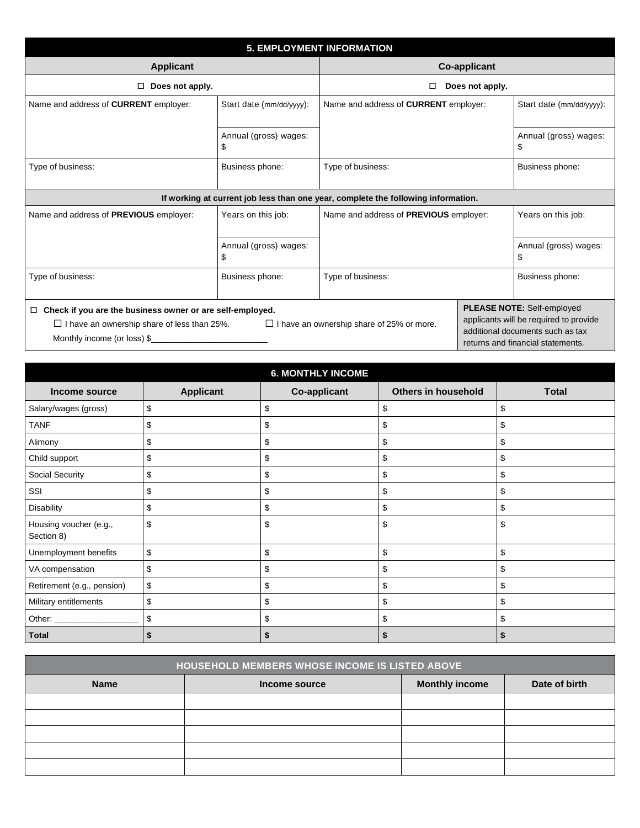| <b>5. EMPLOYMENT INFORMATION</b>                                                                                                                         |                                                  |                                                                                   |                                                                                                                                                      |                            |  |
|----------------------------------------------------------------------------------------------------------------------------------------------------------|--------------------------------------------------|-----------------------------------------------------------------------------------|------------------------------------------------------------------------------------------------------------------------------------------------------|----------------------------|--|
| <b>Applicant</b>                                                                                                                                         |                                                  | <b>Co-applicant</b>                                                               |                                                                                                                                                      |                            |  |
| Does not apply.                                                                                                                                          |                                                  | П                                                                                 | Does not apply.                                                                                                                                      |                            |  |
| Name and address of <b>CURRENT</b> employer:                                                                                                             | Start date (mm/dd/yyyy):                         | Name and address of <b>CURRENT</b> employer:                                      |                                                                                                                                                      | Start date (mm/dd/yyyy):   |  |
|                                                                                                                                                          | Annual (gross) wages:<br>\$                      |                                                                                   |                                                                                                                                                      | Annual (gross) wages:<br>S |  |
| Type of business:                                                                                                                                        | Business phone:                                  | Type of business:                                                                 |                                                                                                                                                      | Business phone:            |  |
|                                                                                                                                                          |                                                  | If working at current job less than one year, complete the following information. |                                                                                                                                                      |                            |  |
| Name and address of PREVIOUS employer:                                                                                                                   | Years on this job:                               | Name and address of PREVIOUS employer:                                            |                                                                                                                                                      | Years on this job:         |  |
|                                                                                                                                                          | Annual (gross) wages:<br>\$                      |                                                                                   |                                                                                                                                                      | Annual (gross) wages:<br>S |  |
| Type of business:                                                                                                                                        | Business phone:                                  | Type of business:                                                                 |                                                                                                                                                      | Business phone:            |  |
| Check if you are the business owner or are self-employed.<br>$\Box$<br>$\Box$ I have an ownership share of less than 25%.<br>Monthly income (or loss) \$ | $\Box$ I have an ownership share of 25% or more. |                                                                                   | <b>PLEASE NOTE: Self-employed</b><br>applicants will be required to provide<br>additional documents such as tax<br>returns and financial statements. |                            |  |

| <b>6. MONTHLY INCOME</b>             |                  |                     |                     |              |  |  |
|--------------------------------------|------------------|---------------------|---------------------|--------------|--|--|
| Income source                        | <b>Applicant</b> | <b>Co-applicant</b> | Others in household | <b>Total</b> |  |  |
| Salary/wages (gross)                 | \$               | \$                  | S                   | \$           |  |  |
| <b>TANF</b>                          | \$               | \$                  | \$                  | \$           |  |  |
| Alimony                              | \$               | \$                  | \$                  | \$           |  |  |
| Child support                        | \$               | \$                  | \$                  | \$           |  |  |
| Social Security                      | \$               | \$                  | S                   | \$           |  |  |
| SSI                                  | \$               | \$                  | \$                  | \$           |  |  |
| Disability                           | \$               | \$                  | \$                  | \$           |  |  |
| Housing voucher (e.g.,<br>Section 8) | \$               | \$                  | \$                  | \$           |  |  |
| Unemployment benefits                | \$               | \$                  | \$                  | \$           |  |  |
| VA compensation                      | \$               | \$                  |                     | \$           |  |  |
| Retirement (e.g., pension)           | \$               | \$                  | \$                  | \$           |  |  |
| Military entitlements                | \$               | \$                  | \$                  | \$           |  |  |
|                                      | \$               | \$                  | \$                  | \$           |  |  |
| <b>Total</b>                         |                  |                     |                     |              |  |  |

| <b>HOUSEHOLD MEMBERS WHOSE INCOME IS LISTED ABOVE</b> |               |                       |               |  |
|-------------------------------------------------------|---------------|-----------------------|---------------|--|
| <b>Name</b>                                           | Income source | <b>Monthly income</b> | Date of birth |  |
|                                                       |               |                       |               |  |
|                                                       |               |                       |               |  |
|                                                       |               |                       |               |  |
|                                                       |               |                       |               |  |
|                                                       |               |                       |               |  |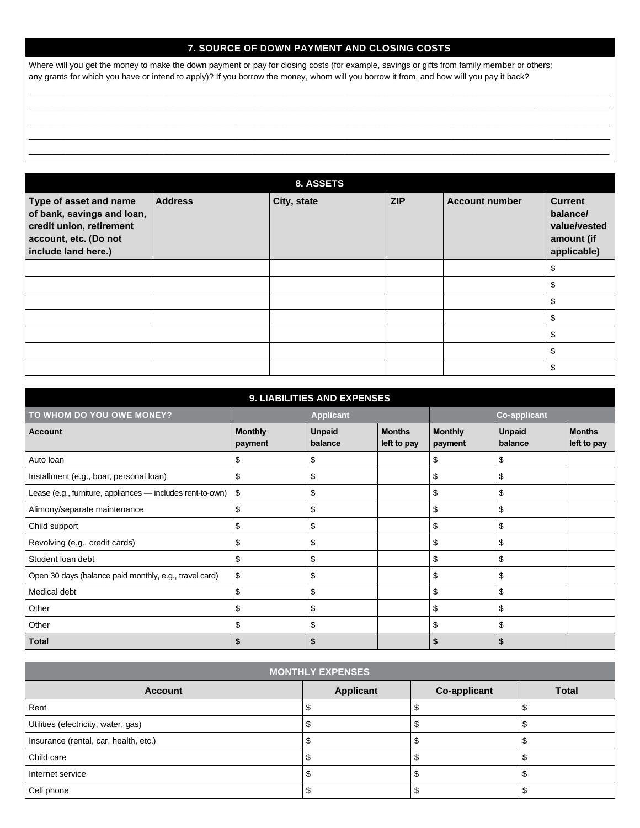## **7. SOURCE OF DOWN PAYMENT AND CLOSING COSTS**

\_\_\_\_\_\_\_\_\_\_\_\_\_\_\_\_\_\_\_\_\_\_\_\_\_\_\_\_\_\_\_\_\_\_\_\_\_\_\_\_\_\_\_\_\_\_\_\_\_\_\_\_\_\_\_\_\_\_\_\_\_\_\_\_\_\_\_\_\_\_\_\_\_\_\_\_\_\_\_\_\_\_\_\_\_\_\_\_\_\_\_\_\_\_\_\_\_\_\_\_\_\_\_\_\_\_\_\_\_\_\_\_\_\_\_\_\_\_\_\_\_\_\_\_\_ \_\_\_\_\_\_\_\_\_\_\_\_\_\_\_\_\_\_\_\_\_\_\_\_\_\_\_\_\_\_\_\_\_\_\_\_\_\_\_\_\_\_\_\_\_\_\_\_\_\_\_\_\_\_\_\_\_\_\_\_\_\_\_\_\_\_\_\_\_\_\_\_\_\_\_\_\_\_\_\_\_\_\_\_\_\_\_\_\_\_\_\_\_\_\_\_\_\_\_\_\_\_\_\_\_\_\_\_\_\_\_\_\_\_\_\_\_\_\_\_\_\_\_\_\_ \_\_\_\_\_\_\_\_\_\_\_\_\_\_\_\_\_\_\_\_\_\_\_\_\_\_\_\_\_\_\_\_\_\_\_\_\_\_\_\_\_\_\_\_\_\_\_\_\_\_\_\_\_\_\_\_\_\_\_\_\_\_\_\_\_\_\_\_\_\_\_\_\_\_\_\_\_\_\_\_\_\_\_\_\_\_\_\_\_\_\_\_\_\_\_\_\_\_\_\_\_\_\_\_\_\_\_\_\_\_\_\_\_\_\_\_\_\_\_\_\_\_\_\_\_ \_\_\_\_\_\_\_\_\_\_\_\_\_\_\_\_\_\_\_\_\_\_\_\_\_\_\_\_\_\_\_\_\_\_\_\_\_\_\_\_\_\_\_\_\_\_\_\_\_\_\_\_\_\_\_\_\_\_\_\_\_\_\_\_\_\_\_\_\_\_\_\_\_\_\_\_\_\_\_\_\_\_\_\_\_\_\_\_\_\_\_\_\_\_\_\_\_\_\_\_\_\_\_\_\_\_\_\_\_\_\_\_\_\_\_\_\_\_\_\_\_\_\_\_\_ \_\_\_\_\_\_\_\_\_\_\_\_\_\_\_\_\_\_\_\_\_\_\_\_\_\_\_\_\_\_\_\_\_\_\_\_\_\_\_\_\_\_\_\_\_\_\_\_\_\_\_\_\_\_\_\_\_\_\_\_\_\_\_\_\_\_\_\_\_\_\_\_\_\_\_\_\_\_\_\_\_\_\_\_\_\_\_\_\_\_\_\_\_\_\_\_\_\_\_\_\_\_\_\_\_\_\_\_\_\_\_\_\_\_\_\_\_\_\_\_\_\_\_\_\_

Where will you get the money to make the down payment or pay for closing costs (for example, savings or gifts from family member or others; any grants for which you have or intend to apply)? If you borrow the money, whom will you borrow it from, and how will you pay it back?

**8. ASSETS Type of asset and name of bank, savings and loan, credit union, retirement account, etc. (Do not include land here.)** Address **City, state ZIP Account number Current balance/ value/vested amount (if applicable)** \$ \$  $\mathfrak{s}$  $\mathfrak{s}$ \$ \$ \$

| <b>9. LIABILITIES AND EXPENSES</b>                         |                           |                          |                              |                           |                          |                              |  |
|------------------------------------------------------------|---------------------------|--------------------------|------------------------------|---------------------------|--------------------------|------------------------------|--|
| TO WHOM DO YOU OWE MONEY?                                  |                           | <b>Applicant</b>         |                              |                           | <b>Co-applicant</b>      |                              |  |
| <b>Account</b>                                             | <b>Monthly</b><br>payment | <b>Unpaid</b><br>balance | <b>Months</b><br>left to pay | <b>Monthly</b><br>payment | <b>Unpaid</b><br>balance | <b>Months</b><br>left to pay |  |
| Auto Ioan                                                  | \$                        | \$                       |                              | \$                        | \$                       |                              |  |
| Installment (e.g., boat, personal loan)                    | \$                        | \$                       |                              | \$                        | \$                       |                              |  |
| Lease (e.g., furniture, appliances - includes rent-to-own) | \$                        | \$                       |                              | \$                        | \$                       |                              |  |
| Alimony/separate maintenance                               | \$                        | \$                       |                              | \$                        | \$                       |                              |  |
| Child support                                              | \$                        | \$                       |                              | \$                        | \$                       |                              |  |
| Revolving (e.g., credit cards)                             | \$                        | \$                       |                              | \$                        | \$                       |                              |  |
| Student loan debt                                          | \$                        | \$                       |                              | \$                        | \$                       |                              |  |
| Open 30 days (balance paid monthly, e.g., travel card)     | \$                        | \$                       |                              | \$                        | \$                       |                              |  |
| Medical debt                                               | \$                        | \$                       |                              | \$                        | \$                       |                              |  |
| Other                                                      | \$                        | \$                       |                              | \$                        | \$                       |                              |  |
| Other                                                      | \$                        | \$                       |                              | \$                        | \$                       |                              |  |
| <b>Total</b>                                               |                           |                          |                              | \$                        |                          |                              |  |

| <b>MONTHLY EXPENSES</b>               |                  |                     |              |  |  |
|---------------------------------------|------------------|---------------------|--------------|--|--|
| <b>Account</b>                        | <b>Applicant</b> | <b>Co-applicant</b> | <b>Total</b> |  |  |
| Rent                                  |                  |                     |              |  |  |
| Utilities (electricity, water, gas)   |                  |                     |              |  |  |
| Insurance (rental, car, health, etc.) |                  |                     |              |  |  |
| Child care                            |                  |                     |              |  |  |
| Internet service                      |                  |                     |              |  |  |
| Cell phone                            |                  |                     |              |  |  |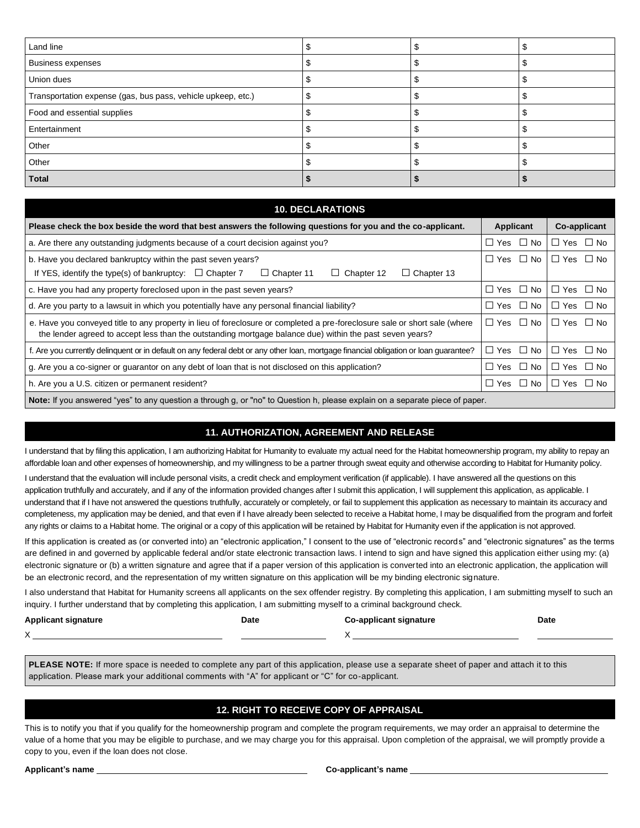| Land line                                                    |  |  |
|--------------------------------------------------------------|--|--|
| <b>Business expenses</b>                                     |  |  |
| Union dues                                                   |  |  |
| Transportation expense (gas, bus pass, vehicle upkeep, etc.) |  |  |
| Food and essential supplies                                  |  |  |
| Entertainment                                                |  |  |
| Other                                                        |  |  |
| Other                                                        |  |  |
| <b>Total</b>                                                 |  |  |

| <b>10. DECLARATIONS</b>                                                                                                                                                                                                                |                       |                                                 |  |  |  |
|----------------------------------------------------------------------------------------------------------------------------------------------------------------------------------------------------------------------------------------|-----------------------|-------------------------------------------------|--|--|--|
| Please check the box beside the word that best answers the following questions for you and the co-applicant.                                                                                                                           | Applicant             | Co-applicant                                    |  |  |  |
| a. Are there any outstanding judgments because of a court decision against you?                                                                                                                                                        | $\square$ No<br>∐ Yes | $\Box$ Yes<br>∐ No                              |  |  |  |
| b. Have you declared bankruptcy within the past seven years?<br>If YES, identify the type(s) of bankruptcy: $\Box$ Chapter 7<br>$\Box$ Chapter 11<br>$\Box$ Chapter 13<br>Chapter 12<br>$\Box$                                         | $\Box$ Yes $\Box$ No  | $\Box$ Yes $\Box$ No                            |  |  |  |
| c. Have you had any property foreclosed upon in the past seven years?                                                                                                                                                                  | $\Box$ Yes $\Box$ No  | $\Box$ Yes $\Box$ No                            |  |  |  |
| d. Are you party to a lawsuit in which you potentially have any personal financial liability?                                                                                                                                          | □ Yes □ No            | $\Box$ Yes<br>$\Box$ No                         |  |  |  |
| e. Have you conveyed title to any property in lieu of foreclosure or completed a pre-foreclosure sale or short sale (where<br>the lender agreed to accept less than the outstanding mortgage balance due) within the past seven years? |                       | $\Box$ Yes $\Box$ No<br>$\Box$ Yes $\Box$ No    |  |  |  |
| f. Are you currently delinquent or in default on any federal debt or any other loan, mortgage financial obligation or loan guarantee?                                                                                                  | $\Box$ Yes $\Box$ No  | $\Box$ Yes $\Box$ No                            |  |  |  |
| g. Are you a co-signer or guarantor on any debt of loan that is not disclosed on this application?                                                                                                                                     |                       | $\Box$ No<br>∐ Yes                              |  |  |  |
| h. Are you a U.S. citizen or permanent resident?                                                                                                                                                                                       |                       | $\Box$ Yes $\Box$ No<br>$\Box$ No<br>$\Box$ Yes |  |  |  |
| Note: If you answered "yes" to any question a through g, or "no" to Question h, please explain on a separate piece of paper.                                                                                                           |                       |                                                 |  |  |  |

## **11. AUTHORIZATION, AGREEMENT AND RELEASE**

I understand that by filing this application, I am authorizing Habitat for Humanity to evaluate my actual need for the Habitat homeownership program, my ability to repay an affordable loan and other expenses of homeownership, and my willingness to be a partner through sweat equity and otherwise according to Habitat for Humanity policy.

I understand that the evaluation will include personal visits, a credit check and employment verification (if applicable). I have answered all the questions on this application truthfully and accurately, and if any of the information provided changes after I submit this application, I will supplement this application, as applicable. I understand that if I have not answered the questions truthfully, accurately or completely, or fail to supplement this application as necessary to maintain its accuracy and completeness, my application may be denied, and that even if I have already been selected to receive a Habitat home, I may be disqualified from the program and forfeit any rights or claims to a Habitat home. The original or a copy of this application will be retained by Habitat for Humanity even if the application is not approved.

If this application is created as (or converted into) an "electronic application," I consent to the use of "electronic records" and "electronic signatures" as the terms are defined in and governed by applicable federal and/or state electronic transaction laws. I intend to sign and have signed this application either using my: (a) electronic signature or (b) a written signature and agree that if a paper version of this application is converted into an electronic application, the application will be an electronic record, and the representation of my written signature on this application will be my binding electronic signature.

I also understand that Habitat for Humanity screens all applicants on the sex offender registry. By completing this application, I am submitting myself to such an inquiry. I further understand that by completing this application, I am submitting myself to a criminal background check.

| <b>Applicant signature</b> | Date | Co-applicant signature | Date<br>. |
|----------------------------|------|------------------------|-----------|
| $\lambda$                  |      |                        |           |

**PLEASE NOTE:** If more space is needed to complete any part of this application, please use a separate sheet of paper and attach it to this application. Please mark your additional comments with "A" for applicant or "C" for co-applicant.

## **12. RIGHT TO RECEIVE COPY OF APPRAISAL**

This is to notify you that if you qualify for the homeownership program and complete the program requirements, we may order an appraisal to determine the value of a home that you may be eligible to purchase, and we may charge you for this appraisal. Upon completion of the appraisal, we will promptly provide a copy to you, even if the loan does not close.

**Applicant's name Co-applicant's name**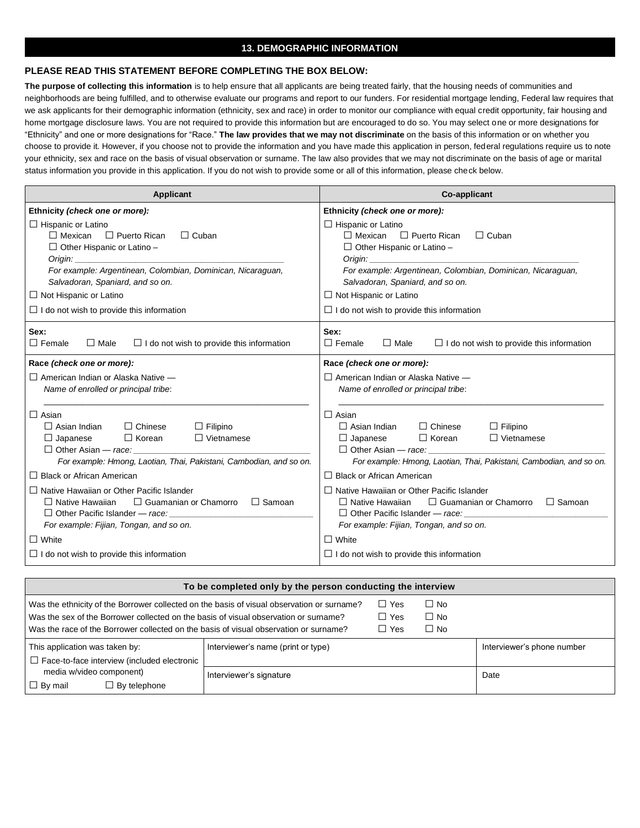#### **13. DEMOGRAPHIC INFORMATION**

#### **PLEASE READ THIS STATEMENT BEFORE COMPLETING THE BOX BELOW:**

**The purpose of collecting this information** is to help ensure that all applicants are being treated fairly, that the housing needs of communities and neighborhoods are being fulfilled, and to otherwise evaluate our programs and report to our funders. For residential mortgage lending, Federal law requires that we ask applicants for their demographic information (ethnicity, sex and race) in order to monitor our compliance with equal credit opportunity, fair housing and home mortgage disclosure laws. You are not required to provide this information but are encouraged to do so. You may select one or more designations for "Ethnicity" and one or more designations for "Race." **The law provides that we may not discriminate** on the basis of this information or on whether you choose to provide it. However, if you choose not to provide the information and you have made this application in person, federal regulations require us to note your ethnicity, sex and race on the basis of visual observation or surname. The law also provides that we may not discriminate on the basis of age or marital status information you provide in this application. If you do not wish to provide some or all of this information, please check below.

| <b>Applicant</b>                                                                                                                                                                                                                                                                                                                                                        | <b>Co-applicant</b>                                                                                                                                                                                                                                                                                                                                                                                                                                              |
|-------------------------------------------------------------------------------------------------------------------------------------------------------------------------------------------------------------------------------------------------------------------------------------------------------------------------------------------------------------------------|------------------------------------------------------------------------------------------------------------------------------------------------------------------------------------------------------------------------------------------------------------------------------------------------------------------------------------------------------------------------------------------------------------------------------------------------------------------|
| Ethnicity (check one or more):<br>$\Box$ Hispanic or Latino<br>□ Puerto Rican<br>$\Box$ Mexican<br>$\Box$ Cuban<br>$\Box$ Other Hispanic or Latino –<br>Origin: $\qquad \qquad$<br>For example: Argentinean, Colombian, Dominican, Nicaraguan,<br>Salvadoran, Spaniard, and so on.<br>$\Box$ Not Hispanic or Latino<br>$\Box$ I do not wish to provide this information | Ethnicity (check one or more):<br>$\Box$ Hispanic or Latino<br>$\Box$ Mexican $\Box$ Puerto Rican<br>$\Box$ Cuban<br>$\Box$ Other Hispanic or Latino –<br>Origin: New York Change of the Change of the Change of the Change of the Change of the Change of the Change of<br>For example: Argentinean, Colombian, Dominican, Nicaraguan,<br>Salvadoran, Spaniard, and so on.<br>$\Box$ Not Hispanic or Latino<br>$\Box$ I do not wish to provide this information |
| Sex:<br>$\Box$ Female<br>$\Box$ Male<br>$\Box$ I do not wish to provide this information                                                                                                                                                                                                                                                                                | Sex:<br>$\Box$ Female<br>$\Box$ Male<br>$\Box$ I do not wish to provide this information                                                                                                                                                                                                                                                                                                                                                                         |
| Race (check one or more):                                                                                                                                                                                                                                                                                                                                               | Race (check one or more):                                                                                                                                                                                                                                                                                                                                                                                                                                        |
| $\Box$ American Indian or Alaska Native $-$<br>Name of enrolled or principal tribe:                                                                                                                                                                                                                                                                                     | $\Box$ American Indian or Alaska Native $-$<br>Name of enrolled or principal tribe:                                                                                                                                                                                                                                                                                                                                                                              |
| $\Box$ Asian<br>$\Box$ Asian Indian<br>□ Chinese<br>$\Box$ Filipino<br>$\Box$ Korean<br>$\Box$ Vietnamese<br>$\Box$ Japanese<br>$\Box$ Other Asian — race:<br>For example: Hmong, Laotian, Thai, Pakistani, Cambodian, and so on.                                                                                                                                       | $\Box$ Asian<br>$\Box$ Chinese<br>$\Box$ Asian Indian<br>$\Box$ Filipino<br>$\Box$ Korean<br>$\Box$ Vietnamese<br>$\Box$ Japanese<br>$\Box$ Other Asian — race:<br>For example: Hmong, Laotian, Thai, Pakistani, Cambodian, and so on.                                                                                                                                                                                                                           |
| $\Box$ Black or African American                                                                                                                                                                                                                                                                                                                                        | $\Box$ Black or African American                                                                                                                                                                                                                                                                                                                                                                                                                                 |
| $\Box$ Native Hawaiian or Other Pacific Islander<br>$\Box$ Guamanian or Chamorro<br>$\Box$ Native Hawaiian<br>□ Samoan<br>$\Box$ Other Pacific Islander — race:<br>For example: Fijian, Tongan, and so on.<br>$\Box$ White                                                                                                                                              | $\Box$ Native Hawaiian or Other Pacific Islander<br>$\Box$ Guamanian or Chamorro<br>$\Box$ Native Hawaiian<br>$\Box$ Samoan<br>For example: Fijian, Tongan, and so on.<br>$\Box$ White                                                                                                                                                                                                                                                                           |
| $\Box$ I do not wish to provide this information                                                                                                                                                                                                                                                                                                                        | $\Box$ I do not wish to provide this information                                                                                                                                                                                                                                                                                                                                                                                                                 |
|                                                                                                                                                                                                                                                                                                                                                                         |                                                                                                                                                                                                                                                                                                                                                                                                                                                                  |

| To be completed only by the person conducting the interview                                                                                                                                                                                                                 |  |                                        |                                     |                            |
|-----------------------------------------------------------------------------------------------------------------------------------------------------------------------------------------------------------------------------------------------------------------------------|--|----------------------------------------|-------------------------------------|----------------------------|
| Was the ethnicity of the Borrower collected on the basis of visual observation or surname?<br>Was the sex of the Borrower collected on the basis of visual observation or surname?<br>Was the race of the Borrower collected on the basis of visual observation or surname? |  | $\Box$ Yes<br>$\Box$ Yes<br>$\Box$ Yes | $\Box$ No<br>$\Box$ No<br>$\Box$ No |                            |
| Interviewer's name (print or type)<br>This application was taken by:<br>$\Box$ Face-to-face interview (included electronic<br>media w/video component)<br>Interviewer's signature<br>$\Box$ By mail<br>$\Box$ By telephone                                                  |  |                                        |                                     | Interviewer's phone number |
|                                                                                                                                                                                                                                                                             |  |                                        |                                     | Date                       |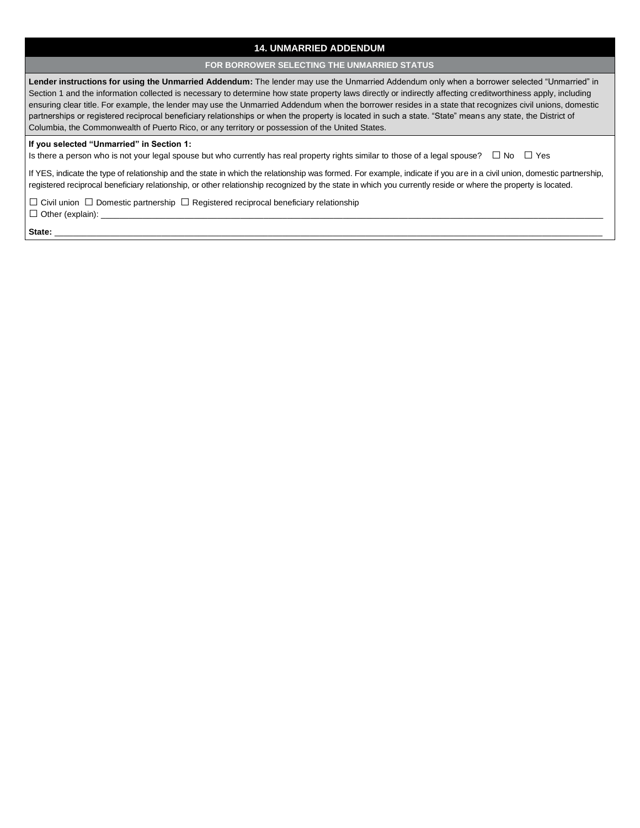## **14. UNMARRIED ADDENDUM**

#### **FOR BORROWER SELECTING THE UNMARRIED STATUS**

**Lender instructions for using the Unmarried Addendum:** The lender may use the Unmarried Addendum only when a borrower selected "Unmarried" in Section 1 and the information collected is necessary to determine how state property laws directly or indirectly affecting creditworthiness apply, including ensuring clear title. For example, the lender may use the Unmarried Addendum when the borrower resides in a state that recognizes civil unions, domestic partnerships or registered reciprocal beneficiary relationships or when the property is located in such a state. "State" means any state, the District of Columbia, the Commonwealth of Puerto Rico, or any territory or possession of the United States.

#### **If you selected "Unmarried" in Section 1:**

Is there a person who is not your legal spouse but who currently has real property rights similar to those of a legal spouse? **□** No **□** Yes

If YES, indicate the type of relationship and the state in which the relationship was formed. For example, indicate if you are in a civil union, domestic partnership, registered reciprocal beneficiary relationship, or other relationship recognized by the state in which you currently reside or where the property is located.

**□** Civil union **□** Domestic partnership **□** Registered reciprocal beneficiary relationship **□** Other (explain): \_\_\_\_\_\_\_\_\_\_\_\_\_\_\_\_\_\_\_\_\_\_\_\_\_\_\_\_\_\_\_\_\_\_\_\_\_\_\_\_\_\_\_\_\_\_\_\_\_\_\_\_\_\_\_\_\_\_\_\_\_\_\_\_\_\_\_\_\_\_\_\_\_\_\_\_\_\_\_\_\_\_\_\_\_\_\_\_\_\_\_\_\_\_\_\_\_\_\_\_\_\_\_\_\_\_\_\_

**State:** \_\_\_\_\_\_\_\_\_\_\_\_\_\_\_\_\_\_\_\_\_\_\_\_\_\_\_\_\_\_\_\_\_\_\_\_\_\_\_\_\_\_\_\_\_\_\_\_\_\_\_\_\_\_\_\_\_\_\_\_\_\_\_\_\_\_\_\_\_\_\_\_\_\_\_\_\_\_\_\_\_\_\_\_\_\_\_\_\_\_\_\_\_\_\_\_\_\_\_\_\_\_\_\_\_\_\_\_\_\_\_\_\_\_\_\_\_\_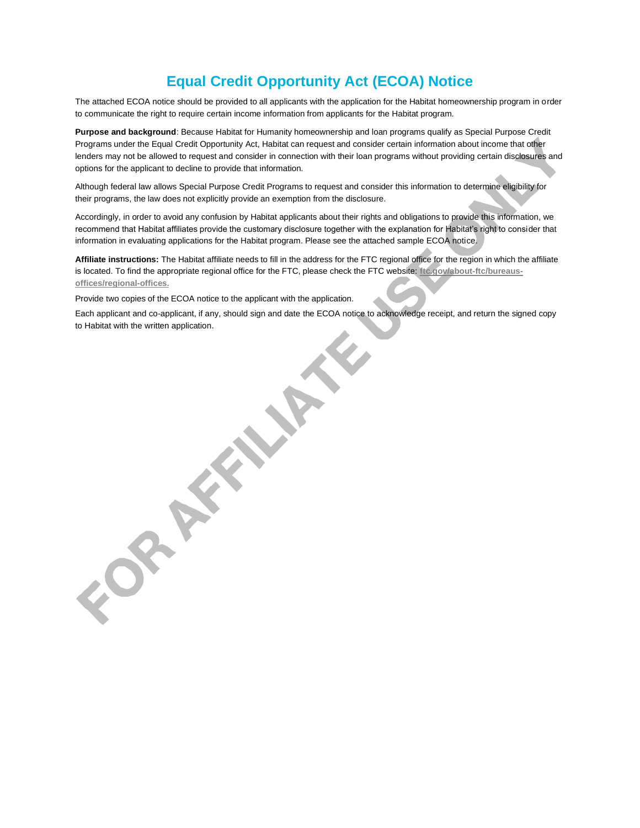# **Equal Credit Opportunity Act (ECOA) Notice**

The attached ECOA notice should be provided to all applicants with the application for the Habitat homeownership program in order to communicate the right to require certain income information from applicants for the Habitat program.

**Purpose and background**: Because Habitat for Humanity homeownership and loan programs qualify as Special Purpose Credit Programs under the Equal Credit Opportunity Act, Habitat can request and consider certain information about income that other lenders may not be allowed to request and consider in connection with their loan programs without providing certain disclosures and options for the applicant to decline to provide that information.

Although federal law allows Special Purpose Credit Programs to request and consider this information to determine eligibility for their programs, the law does not explicitly provide an exemption from the disclosure.

Accordingly, in order to avoid any confusion by Habitat applicants about their rights and obligations to provide this information, we recommend that Habitat affiliates provide the customary disclosure together with the explanation for Habitat's right to consider that information in evaluating applications for the Habitat program. Please see the attached sample ECOA notice.

**Affiliate instructions:** The Habitat affiliate needs to fill in the address for the FTC regional office for the region in which the affiliate is located. To find the appropriate regional office for the FTC, please check the FTC website: **[ftc.gov/about-ftc/bureaus](https://www.ftc.gov/about-ftc/bureaus-offices/regional-offices)[offices/regional-offices.](https://www.ftc.gov/about-ftc/bureaus-offices/regional-offices)**

Provide two copies of the ECOA notice to the applicant with the application.

**PARTIES** 

Each applicant and co-applicant, if any, should sign and date the ECOA notice to acknowledge receipt, and return the signed copy to Habitat with the written application.